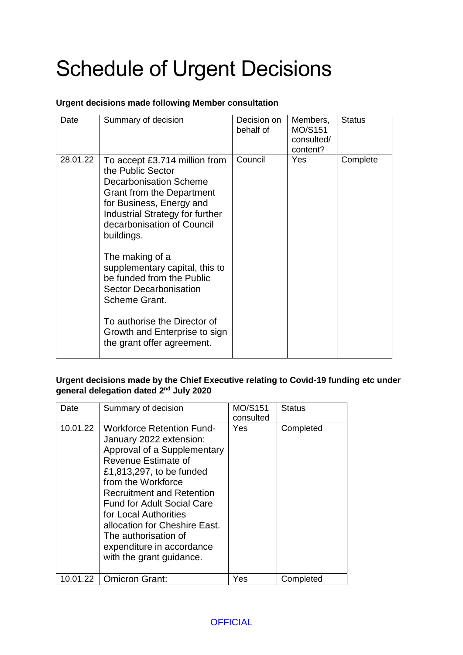## Schedule of Urgent Decisions

## **Urgent decisions made following Member consultation**

| Date     | Summary of decision                                                                                                                                                                                                                                                                                                                                                                                                                                                   | Decision on<br>behalf of | Members,<br>MO/S151<br>consulted/<br>content? | <b>Status</b> |
|----------|-----------------------------------------------------------------------------------------------------------------------------------------------------------------------------------------------------------------------------------------------------------------------------------------------------------------------------------------------------------------------------------------------------------------------------------------------------------------------|--------------------------|-----------------------------------------------|---------------|
| 28.01.22 | To accept £3.714 million from<br>the Public Sector<br><b>Decarbonisation Scheme</b><br><b>Grant from the Department</b><br>for Business, Energy and<br>Industrial Strategy for further<br>decarbonisation of Council<br>buildings.<br>The making of a<br>supplementary capital, this to<br>be funded from the Public<br><b>Sector Decarbonisation</b><br>Scheme Grant.<br>To authorise the Director of<br>Growth and Enterprise to sign<br>the grant offer agreement. | Council                  | Yes                                           | Complete      |

**Urgent decisions made by the Chief Executive relating to Covid-19 funding etc under general delegation dated 2nd July 2020**

| Date     | Summary of decision                                                                                                                                                                                                                                                                                                                                                                     | <b>MO/S151</b><br>consulted | <b>Status</b> |
|----------|-----------------------------------------------------------------------------------------------------------------------------------------------------------------------------------------------------------------------------------------------------------------------------------------------------------------------------------------------------------------------------------------|-----------------------------|---------------|
| 10.01.22 | <b>Workforce Retention Fund-</b><br>January 2022 extension:<br>Approval of a Supplementary<br>Revenue Estimate of<br>£1,813,297, to be funded<br>from the Workforce<br><b>Recruitment and Retention</b><br><b>Fund for Adult Social Care</b><br>for Local Authorities<br>allocation for Cheshire East.<br>The authorisation of<br>expenditure in accordance<br>with the grant guidance. | <b>Yes</b>                  | Completed     |
| 10.01.22 | <b>Omicron Grant:</b>                                                                                                                                                                                                                                                                                                                                                                   | Yes                         | Completed     |